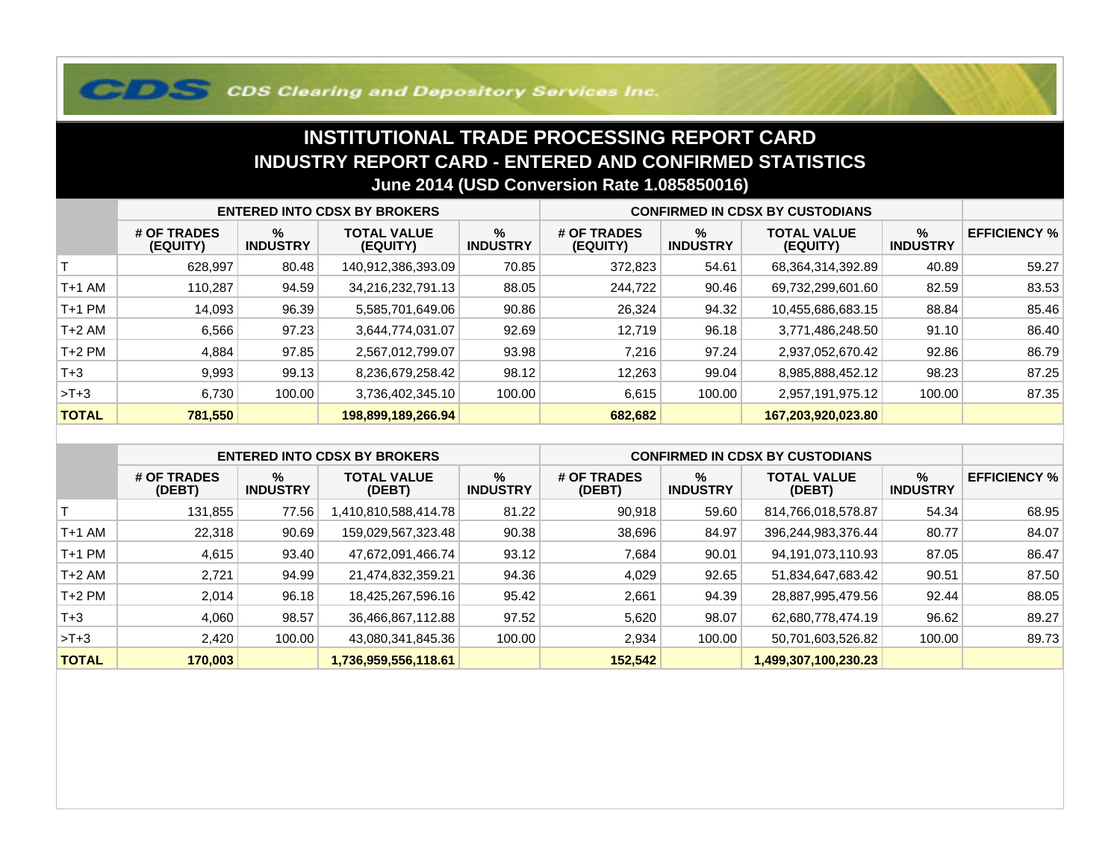## **COS Clearing and Depository Services Inc.**

## **INSTITUTIONAL TRADE PROCESSING REPORT CARD INDUSTRY REPORT CARD - ENTERED AND CONFIRMED STATISTICSJune 2014 (USD Conversion Rate 1.085850016)**

|              | <b>ENTERED INTO CDSX BY BROKERS</b> |                         |                                |                         | <b>CONFIRMED IN CDSX BY CUSTODIANS</b> |                      |                                |                      |                     |
|--------------|-------------------------------------|-------------------------|--------------------------------|-------------------------|----------------------------------------|----------------------|--------------------------------|----------------------|---------------------|
|              | # OF TRADES<br>(EQUITY)             | $\%$<br><b>INDUSTRY</b> | <b>TOTAL VALUE</b><br>(EQUITY) | $\%$<br><b>INDUSTRY</b> | # OF TRADES<br>(EQUITY)                | %<br><b>INDUSTRY</b> | <b>TOTAL VALUE</b><br>(EQUITY) | %<br><b>INDUSTRY</b> | <b>EFFICIENCY %</b> |
|              | 628,997                             | 80.48                   | 140,912,386,393.09             | 70.85                   | 372,823                                | 54.61                | 68,364,314,392.89              | 40.89                | 59.27               |
| T+1 AM       | 110.287                             | 94.59                   | 34,216,232,791.13              | 88.05                   | 244,722                                | 90.46                | 69,732,299,601.60              | 82.59                | 83.53               |
| T+1 PM       | 14,093                              | 96.39                   | 5,585,701,649.06               | 90.86                   | 26,324                                 | 94.32                | 10,455,686,683.15              | 88.84                | 85.46               |
| T+2 AM       | 6,566                               | 97.23                   | 3,644,774,031.07               | 92.69                   | 12,719                                 | 96.18                | 3,771,486,248.50               | 91.10                | 86.40               |
| $T+2$ PM     | 4,884                               | 97.85                   | 2,567,012,799.07               | 93.98                   | 7,216                                  | 97.24                | 2,937,052,670.42               | 92.86                | 86.79               |
| $T+3$        | 9,993                               | 99.13                   | 8,236,679,258.42               | 98.12                   | 12,263                                 | 99.04                | 8,985,888,452.12               | 98.23                | 87.25               |
| $>T+3$       | 6,730                               | 100.00                  | 3,736,402,345.10               | 100.00                  | 6,615                                  | 100.00               | 2,957,191,975.12               | 100.00               | 87.35               |
| <b>TOTAL</b> | 781,550                             |                         | 198,899,189,266.94             |                         | 682,682                                |                      | 167,203,920,023.80             |                      |                     |

|              | <b>ENTERED INTO CDSX BY BROKERS</b> |                         |                              |                         | <b>CONFIRMED IN CDSX BY CUSTODIANS</b> |                         |                              |                      |                     |
|--------------|-------------------------------------|-------------------------|------------------------------|-------------------------|----------------------------------------|-------------------------|------------------------------|----------------------|---------------------|
|              | # OF TRADES<br>(DEBT)               | $\%$<br><b>INDUSTRY</b> | <b>TOTAL VALUE</b><br>(DEBT) | $\%$<br><b>INDUSTRY</b> | # OF TRADES<br>(DEBT)                  | $\%$<br><b>INDUSTRY</b> | <b>TOTAL VALUE</b><br>(DEBT) | %<br><b>INDUSTRY</b> | <b>EFFICIENCY %</b> |
|              | 131.855                             | 77.56                   | 410,810,588,414.78           | 81.22                   | 90,918                                 | 59.60                   | 814,766,018,578.87           | 54.34                | 68.95               |
| $T+1$ AM     | 22,318                              | 90.69                   | 159,029,567,323.48           | 90.38                   | 38,696                                 | 84.97                   | 396,244,983,376.44           | 80.77                | 84.07               |
| $T+1$ PM     | 4,615                               | 93.40                   | 47,672,091,466.74            | 93.12                   | 7,684                                  | 90.01                   | 94,191,073,110.93            | 87.05                | 86.47               |
| $T+2$ AM     | 2.721                               | 94.99                   | 21,474,832,359.21            | 94.36                   | 4,029                                  | 92.65                   | 51,834,647,683.42            | 90.51                | 87.50               |
| $T+2$ PM     | 2,014                               | 96.18                   | 18,425,267,596.16            | 95.42                   | 2,661                                  | 94.39                   | 28,887,995,479.56            | 92.44                | 88.05               |
| $T+3$        | 4,060                               | 98.57                   | 36,466,867,112.88            | 97.52                   | 5,620                                  | 98.07                   | 62,680,778,474.19            | 96.62                | 89.27               |
| $>T+3$       | 2,420                               | 100.00                  | 43,080,341,845.36            | 100.00                  | 2,934                                  | 100.00                  | 50,701,603,526.82            | 100.00               | 89.73               |
| <b>TOTAL</b> | 170,003                             |                         | 1,736,959,556,118.61         |                         | 152,542                                |                         | 1,499,307,100,230.23         |                      |                     |